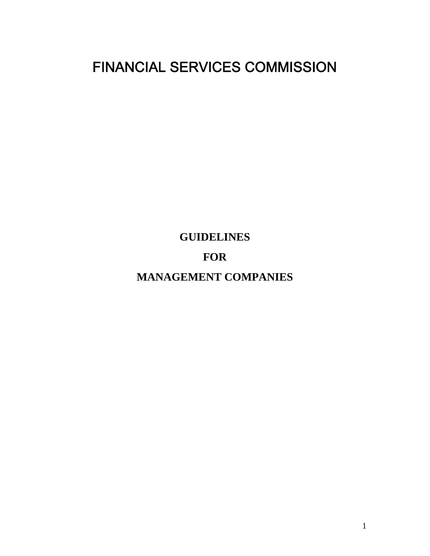# FINANCIAL SERVICES COMMISSION

**GUIDELINES** 

# **FOR**

**MANAGEMENT COMPANIES**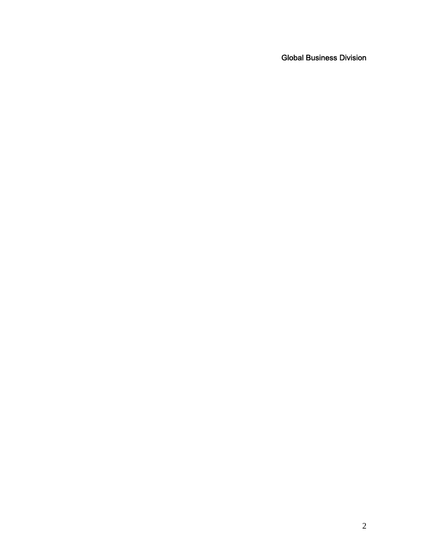Global Business Division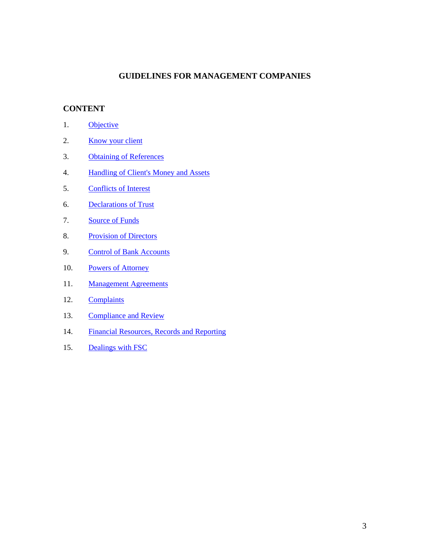### **GUIDELINES FOR MANAGEMENT COMPANIES**

## **CONTENT**

- 1. Objective
- 2. Know your client
- 3. Obtaining of References
- 4. Handling of Client's Money and Assets
- 5. Conflicts of Interest
- 6. Declarations of Trust
- 7. Source of Funds
- 8. Provision of Directors
- 9. Control of Bank Accounts
- 10. Powers of Attorney
- 11. Management Agreements
- 12. Complaints
- 13. Compliance and Review
- 14. Financial Resources, Records and Reporting
- 15. Dealings with FSC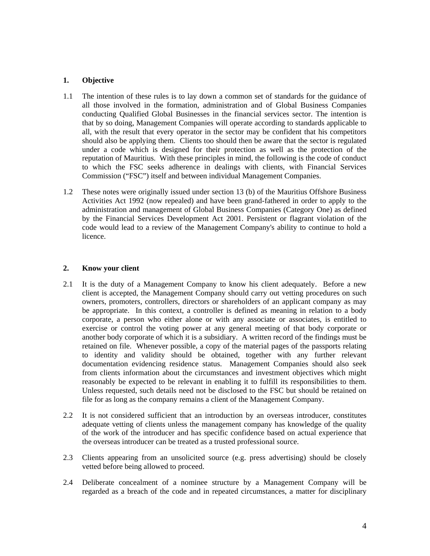#### **1. Objective**

- 1.1 The intention of these rules is to lay down a common set of standards for the guidance of all those involved in the formation, administration and of Global Business Companies conducting Qualified Global Businesses in the financial services sector. The intention is that by so doing, Management Companies will operate according to standards applicable to all, with the result that every operator in the sector may be confident that his competitors should also be applying them. Clients too should then be aware that the sector is regulated under a code which is designed for their protection as well as the protection of the reputation of Mauritius. With these principles in mind, the following is the code of conduct to which the FSC seeks adherence in dealings with clients, with Financial Services Commission ("FSC") itself and between individual Management Companies.
- 1.2 These notes were originally issued under section 13 (b) of the Mauritius Offshore Business Activities Act 1992 (now repealed) and have been grand-fathered in order to apply to the administration and management of Global Business Companies (Category One) as defined by the Financial Services Development Act 2001. Persistent or flagrant violation of the code would lead to a review of the Management Company's ability to continue to hold a licence.

#### **2. Know your client**

- 2.1 It is the duty of a Management Company to know his client adequately. Before a new client is accepted, the Management Company should carry out vetting procedures on such owners, promoters, controllers, directors or shareholders of an applicant company as may be appropriate. In this context, a controller is defined as meaning in relation to a body corporate, a person who either alone or with any associate or associates, is entitled to exercise or control the voting power at any general meeting of that body corporate or another body corporate of which it is a subsidiary. A written record of the findings must be retained on file. Whenever possible, a copy of the material pages of the passports relating to identity and validity should be obtained, together with any further relevant documentation evidencing residence status. Management Companies should also seek from clients information about the circumstances and investment objectives which might reasonably be expected to be relevant in enabling it to fulfill its responsibilities to them. Unless requested, such details need not be disclosed to the FSC but should be retained on file for as long as the company remains a client of the Management Company.
- 2.2 It is not considered sufficient that an introduction by an overseas introducer, constitutes adequate vetting of clients unless the management company has knowledge of the quality of the work of the introducer and has specific confidence based on actual experience that the overseas introducer can be treated as a trusted professional source.
- 2.3 Clients appearing from an unsolicited source (e.g. press advertising) should be closely vetted before being allowed to proceed.
- 2.4 Deliberate concealment of a nominee structure by a Management Company will be regarded as a breach of the code and in repeated circumstances, a matter for disciplinary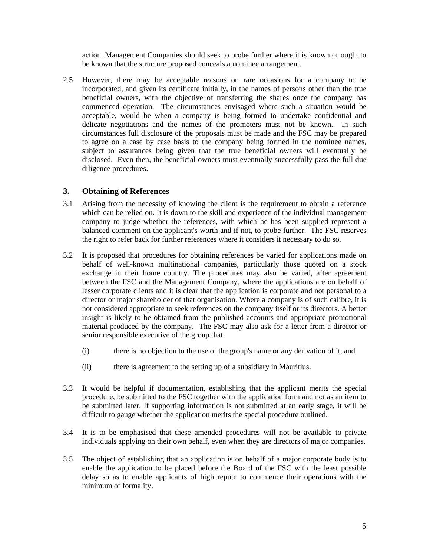action. Management Companies should seek to probe further where it is known or ought to be known that the structure proposed conceals a nominee arrangement.

2.5 However, there may be acceptable reasons on rare occasions for a company to be incorporated, and given its certificate initially, in the names of persons other than the true beneficial owners, with the objective of transferring the shares once the company has commenced operation. The circumstances envisaged where such a situation would be acceptable, would be when a company is being formed to undertake confidential and delicate negotiations and the names of the promoters must not be known. In such circumstances full disclosure of the proposals must be made and the FSC may be prepared to agree on a case by case basis to the company being formed in the nominee names, subject to assurances being given that the true beneficial owners will eventually be disclosed. Even then, the beneficial owners must eventually successfully pass the full due diligence procedures.

#### **3. Obtaining of References**

- 3.1 Arising from the necessity of knowing the client is the requirement to obtain a reference which can be relied on. It is down to the skill and experience of the individual management company to judge whether the references, with which he has been supplied represent a balanced comment on the applicant's worth and if not, to probe further. The FSC reserves the right to refer back for further references where it considers it necessary to do so.
- 3.2 It is proposed that procedures for obtaining references be varied for applications made on behalf of well-known multinational companies, particularly those quoted on a stock exchange in their home country. The procedures may also be varied, after agreement between the FSC and the Management Company, where the applications are on behalf of lesser corporate clients and it is clear that the application is corporate and not personal to a director or major shareholder of that organisation. Where a company is of such calibre, it is not considered appropriate to seek references on the company itself or its directors. A better insight is likely to be obtained from the published accounts and appropriate promotional material produced by the company. The FSC may also ask for a letter from a director or senior responsible executive of the group that:
	- (i) there is no objection to the use of the group's name or any derivation of it, and
	- (ii) there is agreement to the setting up of a subsidiary in Mauritius.
- 3.3 It would be helpful if documentation, establishing that the applicant merits the special procedure, be submitted to the FSC together with the application form and not as an item to be submitted later. If supporting information is not submitted at an early stage, it will be difficult to gauge whether the application merits the special procedure outlined.
- 3.4 It is to be emphasised that these amended procedures will not be available to private individuals applying on their own behalf, even when they are directors of major companies.
- 3.5 The object of establishing that an application is on behalf of a major corporate body is to enable the application to be placed before the Board of the FSC with the least possible delay so as to enable applicants of high repute to commence their operations with the minimum of formality.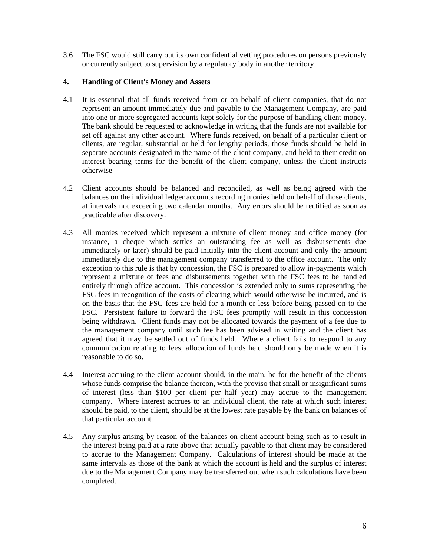3.6 The FSC would still carry out its own confidential vetting procedures on persons previously or currently subject to supervision by a regulatory body in another territory.

#### **4. Handling of Client's Money and Assets**

- 4.1 It is essential that all funds received from or on behalf of client companies, that do not represent an amount immediately due and payable to the Management Company, are paid into one or more segregated accounts kept solely for the purpose of handling client money. The bank should be requested to acknowledge in writing that the funds are not available for set off against any other account. Where funds received, on behalf of a particular client or clients, are regular, substantial or held for lengthy periods, those funds should be held in separate accounts designated in the name of the client company, and held to their credit on interest bearing terms for the benefit of the client company, unless the client instructs otherwise
- 4.2 Client accounts should be balanced and reconciled, as well as being agreed with the balances on the individual ledger accounts recording monies held on behalf of those clients, at intervals not exceeding two calendar months. Any errors should be rectified as soon as practicable after discovery.
- 4.3 All monies received which represent a mixture of client money and office money (for instance, a cheque which settles an outstanding fee as well as disbursements due immediately or later) should be paid initially into the client account and only the amount immediately due to the management company transferred to the office account. The only exception to this rule is that by concession, the FSC is prepared to allow in-payments which represent a mixture of fees and disbursements together with the FSC fees to be handled entirely through office account. This concession is extended only to sums representing the FSC fees in recognition of the costs of clearing which would otherwise be incurred, and is on the basis that the FSC fees are held for a month or less before being passed on to the FSC. Persistent failure to forward the FSC fees promptly will result in this concession being withdrawn. Client funds may not be allocated towards the payment of a fee due to the management company until such fee has been advised in writing and the client has agreed that it may be settled out of funds held. Where a client fails to respond to any communication relating to fees, allocation of funds held should only be made when it is reasonable to do so.
- 4.4 Interest accruing to the client account should, in the main, be for the benefit of the clients whose funds comprise the balance thereon, with the proviso that small or insignificant sums of interest (less than \$100 per client per half year) may accrue to the management company. Where interest accrues to an individual client, the rate at which such interest should be paid, to the client, should be at the lowest rate payable by the bank on balances of that particular account.
- 4.5 Any surplus arising by reason of the balances on client account being such as to result in the interest being paid at a rate above that actually payable to that client may be considered to accrue to the Management Company. Calculations of interest should be made at the same intervals as those of the bank at which the account is held and the surplus of interest due to the Management Company may be transferred out when such calculations have been completed.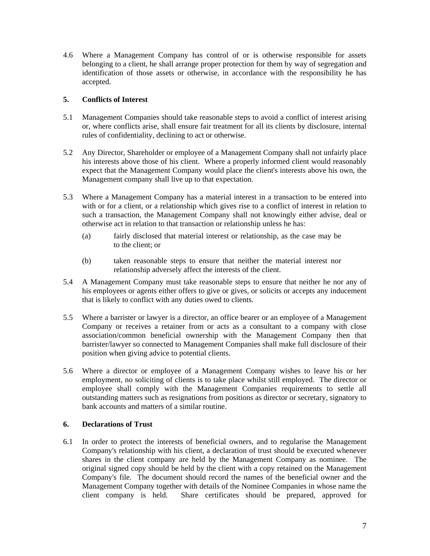4.6 Where a Management Company has control of or is otherwise responsible for assets belonging to a client, he shall arrange proper protection for them by way of segregation and identification of those assets or otherwise, in accordance with the responsibility he has accepted.

#### **5. Conflicts of Interest**

- 5.1 Management Companies should take reasonable steps to avoid a conflict of interest arising or, where conflicts arise, shall ensure fair treatment for all its clients by disclosure, internal rules of confidentiality, declining to act or otherwise.
- 5.2 Any Director, Shareholder or employee of a Management Company shall not unfairly place his interests above those of his client. Where a properly informed client would reasonably expect that the Management Company would place the client's interests above his own, the Management company shall live up to that expectation.
- 5.3 Where a Management Company has a material interest in a transaction to be entered into with or for a client, or a relationship which gives rise to a conflict of interest in relation to such a transaction, the Management Company shall not knowingly either advise, deal or otherwise act in relation to that transaction or relationship unless he has:
	- (a) fairly disclosed that material interest or relationship, as the case may be to the client; or
	- (b) taken reasonable steps to ensure that neither the material interest nor relationship adversely affect the interests of the client.
- 5.4 A Management Company must take reasonable steps to ensure that neither he nor any of his employees or agents either offers to give or gives, or solicits or accepts any inducement that is likely to conflict with any duties owed to clients.
- 5.5 Where a barrister or lawyer is a director, an office bearer or an employee of a Management Company or receives a retainer from or acts as a consultant to a company with close association/common beneficial ownership with the Management Company then that barrister/lawyer so connected to Management Companies shall make full disclosure of their position when giving advice to potential clients.
- 5.6 Where a director or employee of a Management Company wishes to leave his or her employment, no soliciting of clients is to take place whilst still employed. The director or employee shall comply with the Management Companies requirements to settle all outstanding matters such as resignations from positions as director or secretary, signatory to bank accounts and matters of a similar routine.

#### **6. Declarations of Trust**

6.1 In order to protect the interests of beneficial owners, and to regularise the Management Company's relationship with his client, a declaration of trust should be executed whenever shares in the client company are held by the Management Company as nominee. The original signed copy should be held by the client with a copy retained on the Management Company's file. The document should record the names of the beneficial owner and the Management Company together with details of the Nominee Companies in whose name the client company is held. Share certificates should be prepared, approved for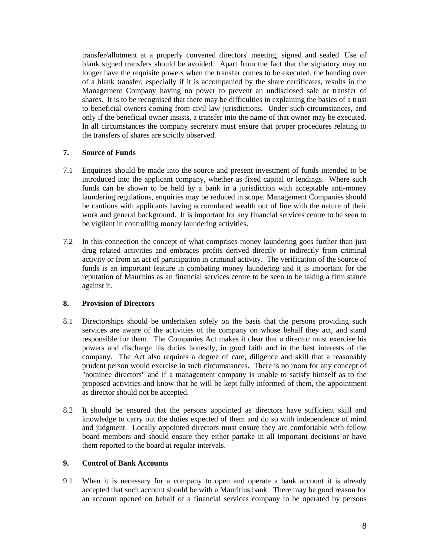transfer/allotment at a properly convened directors' meeting, signed and sealed. Use of blank signed transfers should be avoided. Apart from the fact that the signatory may no longer have the requisite powers when the transfer comes to be executed, the handing over of a blank transfer, especially if it is accompanied by the share certificates, results in the Management Company having no power to prevent an undisclosed sale or transfer of shares. It is to be recognised that there may be difficulties in explaining the basics of a trust to beneficial owners coming from civil law jurisdictions. Under such circumstances, and only if the beneficial owner insists, a transfer into the name of that owner may be executed. In all circumstances the company secretary must ensure that proper procedures relating to the transfers of shares are strictly observed.

#### **7. Source of Funds**

- 7.1 Enquiries should be made into the source and present investment of funds intended to be introduced into the applicant company, whether as fixed capital or lendings. Where such funds can be shown to be held by a bank in a jurisdiction with acceptable anti-money laundering regulations, enquiries may be reduced in scope. Management Companies should be cautious with applicants having accumulated wealth out of line with the nature of their work and general background. It is important for any financial services centre to be seen to be vigilant in controlling money laundering activities.
- 7.2 In this connection the concept of what comprises money laundering goes further than just drug related activities and embraces profits derived directly or indirectly from criminal activity or from an act of participation in criminal activity. The verification of the source of funds is an important feature in combating money laundering and it is important for the reputation of Mauritius as an financial services centre to be seen to be taking a firm stance against it.

#### **8. Provision of Directors**

- 8.1 Directorships should be undertaken solely on the basis that the persons providing such services are aware of the activities of the company on whose behalf they act, and stand responsible for them. The Companies Act makes it clear that a director must exercise his powers and discharge his duties honestly, in good faith and in the best interests of the company. The Act also requires a degree of care, diligence and skill that a reasonably prudent person would exercise in such circumstances. There is no room for any concept of "nominee directors" and if a management company is unable to satisfy himself as to the proposed activities and know that he will be kept fully informed of them, the appointment as director should not be accepted.
- 8.2 It should be ensured that the persons appointed as directors have sufficient skill and knowledge to carry out the duties expected of them and do so with independence of mind and judgment. Locally appointed directors must ensure they are comfortable with fellow board members and should ensure they either partake in all important decisions or have them reported to the board at regular intervals.

#### **9. Control of Bank Accounts**

9.1 When it is necessary for a company to open and operate a bank account it is already accepted that such account should be with a Mauritius bank. There may be good reason for an account opened on behalf of a financial services company to be operated by persons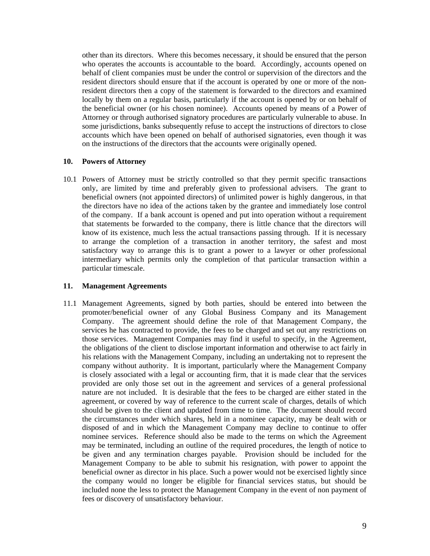other than its directors. Where this becomes necessary, it should be ensured that the person who operates the accounts is accountable to the board. Accordingly, accounts opened on behalf of client companies must be under the control or supervision of the directors and the resident directors should ensure that if the account is operated by one or more of the nonresident directors then a copy of the statement is forwarded to the directors and examined locally by them on a regular basis, particularly if the account is opened by or on behalf of the beneficial owner (or his chosen nominee). Accounts opened by means of a Power of Attorney or through authorised signatory procedures are particularly vulnerable to abuse. In some jurisdictions, banks subsequently refuse to accept the instructions of directors to close accounts which have been opened on behalf of authorised signatories, even though it was on the instructions of the directors that the accounts were originally opened.

#### **10. Powers of Attorney**

10.1 Powers of Attorney must be strictly controlled so that they permit specific transactions only, are limited by time and preferably given to professional advisers. The grant to beneficial owners (not appointed directors) of unlimited power is highly dangerous, in that the directors have no idea of the actions taken by the grantee and immediately lose control of the company. If a bank account is opened and put into operation without a requirement that statements be forwarded to the company, there is little chance that the directors will know of its existence, much less the actual transactions passing through. If it is necessary to arrange the completion of a transaction in another territory, the safest and most satisfactory way to arrange this is to grant a power to a lawyer or other professional intermediary which permits only the completion of that particular transaction within a particular timescale.

#### **11. Management Agreements**

11.1 Management Agreements, signed by both parties, should be entered into between the promoter/beneficial owner of any Global Business Company and its Management Company. The agreement should define the role of that Management Company, the services he has contracted to provide, the fees to be charged and set out any restrictions on those services. Management Companies may find it useful to specify, in the Agreement, the obligations of the client to disclose important information and otherwise to act fairly in his relations with the Management Company, including an undertaking not to represent the company without authority. It is important, particularly where the Management Company is closely associated with a legal or accounting firm, that it is made clear that the services provided are only those set out in the agreement and services of a general professional nature are not included. It is desirable that the fees to be charged are either stated in the agreement, or covered by way of reference to the current scale of charges, details of which should be given to the client and updated from time to time. The document should record the circumstances under which shares, held in a nominee capacity, may be dealt with or disposed of and in which the Management Company may decline to continue to offer nominee services. Reference should also be made to the terms on which the Agreement may be terminated, including an outline of the required procedures, the length of notice to be given and any termination charges payable. Provision should be included for the Management Company to be able to submit his resignation, with power to appoint the beneficial owner as director in his place. Such a power would not be exercised lightly since the company would no longer be eligible for financial services status, but should be included none the less to protect the Management Company in the event of non payment of fees or discovery of unsatisfactory behaviour.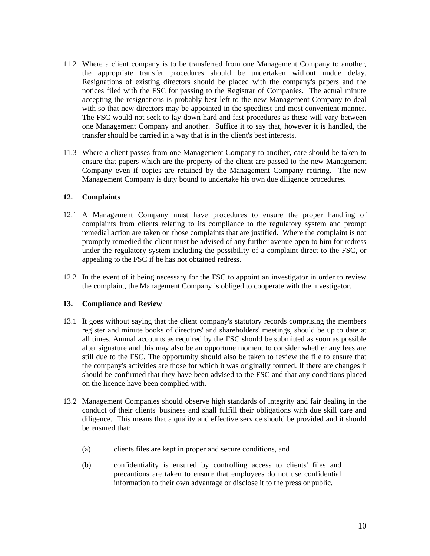- 11.2 Where a client company is to be transferred from one Management Company to another, the appropriate transfer procedures should be undertaken without undue delay. Resignations of existing directors should be placed with the company's papers and the notices filed with the FSC for passing to the Registrar of Companies. The actual minute accepting the resignations is probably best left to the new Management Company to deal with so that new directors may be appointed in the speediest and most convenient manner. The FSC would not seek to lay down hard and fast procedures as these will vary between one Management Company and another. Suffice it to say that, however it is handled, the transfer should be carried in a way that is in the client's best interests.
- 11.3 Where a client passes from one Management Company to another, care should be taken to ensure that papers which are the property of the client are passed to the new Management Company even if copies are retained by the Management Company retiring. The new Management Company is duty bound to undertake his own due diligence procedures.

#### **12. Complaints**

- 12.1 A Management Company must have procedures to ensure the proper handling of complaints from clients relating to its compliance to the regulatory system and prompt remedial action are taken on those complaints that are justified. Where the complaint is not promptly remedied the client must be advised of any further avenue open to him for redress under the regulatory system including the possibility of a complaint direct to the FSC, or appealing to the FSC if he has not obtained redress.
- 12.2 In the event of it being necessary for the FSC to appoint an investigator in order to review the complaint, the Management Company is obliged to cooperate with the investigator.

#### **13. Compliance and Review**

- 13.1 It goes without saying that the client company's statutory records comprising the members register and minute books of directors' and shareholders' meetings, should be up to date at all times. Annual accounts as required by the FSC should be submitted as soon as possible after signature and this may also be an opportune moment to consider whether any fees are still due to the FSC. The opportunity should also be taken to review the file to ensure that the company's activities are those for which it was originally formed. If there are changes it should be confirmed that they have been advised to the FSC and that any conditions placed on the licence have been complied with.
- 13.2 Management Companies should observe high standards of integrity and fair dealing in the conduct of their clients' business and shall fulfill their obligations with due skill care and diligence. This means that a quality and effective service should be provided and it should be ensured that:
	- (a) clients files are kept in proper and secure conditions, and
	- (b) confidentiality is ensured by controlling access to clients' files and precautions are taken to ensure that employees do not use confidential information to their own advantage or disclose it to the press or public.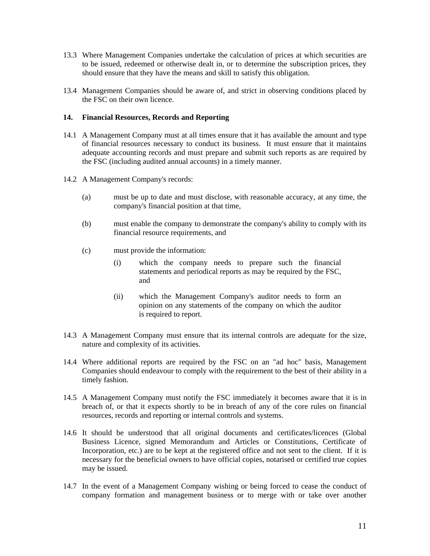- 13.3 Where Management Companies undertake the calculation of prices at which securities are to be issued, redeemed or otherwise dealt in, or to determine the subscription prices, they should ensure that they have the means and skill to satisfy this obligation.
- 13.4 Management Companies should be aware of, and strict in observing conditions placed by the FSC on their own licence.

#### **14. Financial Resources, Records and Reporting**

- 14.1 A Management Company must at all times ensure that it has available the amount and type of financial resources necessary to conduct its business. It must ensure that it maintains adequate accounting records and must prepare and submit such reports as are required by the FSC (including audited annual accounts) in a timely manner.
- 14.2 A Management Company's records:
	- (a) must be up to date and must disclose, with reasonable accuracy, at any time, the company's financial position at that time,
	- (b) must enable the company to demonstrate the company's ability to comply with its financial resource requirements, and
	- (c) must provide the information:
		- (i) which the company needs to prepare such the financial statements and periodical reports as may be required by the FSC, and
		- (ii) which the Management Company's auditor needs to form an opinion on any statements of the company on which the auditor is required to report.
- 14.3 A Management Company must ensure that its internal controls are adequate for the size, nature and complexity of its activities.
- 14.4 Where additional reports are required by the FSC on an "ad hoc" basis, Management Companies should endeavour to comply with the requirement to the best of their ability in a timely fashion.
- 14.5 A Management Company must notify the FSC immediately it becomes aware that it is in breach of, or that it expects shortly to be in breach of any of the core rules on financial resources, records and reporting or internal controls and systems.
- 14.6 It should be understood that all original documents and certificates/licences (Global Business Licence, signed Memorandum and Articles or Constitutions, Certificate of Incorporation, etc.) are to be kept at the registered office and not sent to the client. If it is necessary for the beneficial owners to have official copies, notarised or certified true copies may be issued.
- 14.7 In the event of a Management Company wishing or being forced to cease the conduct of company formation and management business or to merge with or take over another